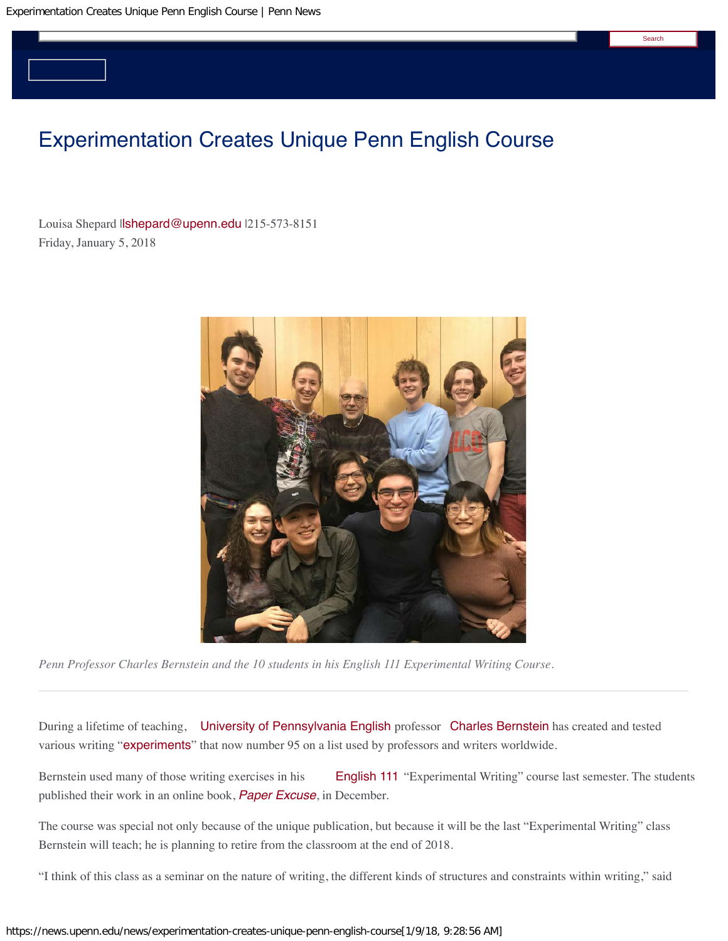# Experimentation Creates Unique Penn English Course

Louisa Shepard Il**shepard@upenn.edu** I215-573-8151 Friday, January 5, 2018



*Penn Professor Charles Bernstein and the 10 students in his English 111 Experimental Writing Course.* 

During a lifetime of teaching, [University of Pennsylvania](https://www.upenn.edu/) [English](https://www.english.upenn.edu/) professor [Charles Bernstein](http://www.writing.upenn.edu/bernstein/) has created and tested various writing "[experiments](http://www.writing.upenn.edu/bernstein/experiments.html)" that now number 95 on a list used by professors and writers worldwide.

Bernstein used many of those writing exercises in his [English 111](http://www.writing.upenn.edu/bernstein/syllabi/111-intro.html) "Experimental Writing" course last semester. The students published their work in an online book, *[Paper Excuse](http://www.writing.upenn.edu/bernstein/syllabi/111/Paper-Excuse_111_F17.pdf)*, in December.

The course was special not only because of the unique publication, but because it will be the last "Experimental Writing" class Bernstein will teach; he is planning to retire from the classroom at the end of 2018.

"I think of this class as a seminar on the nature of writing, the different kinds of structures and constraints within writing," said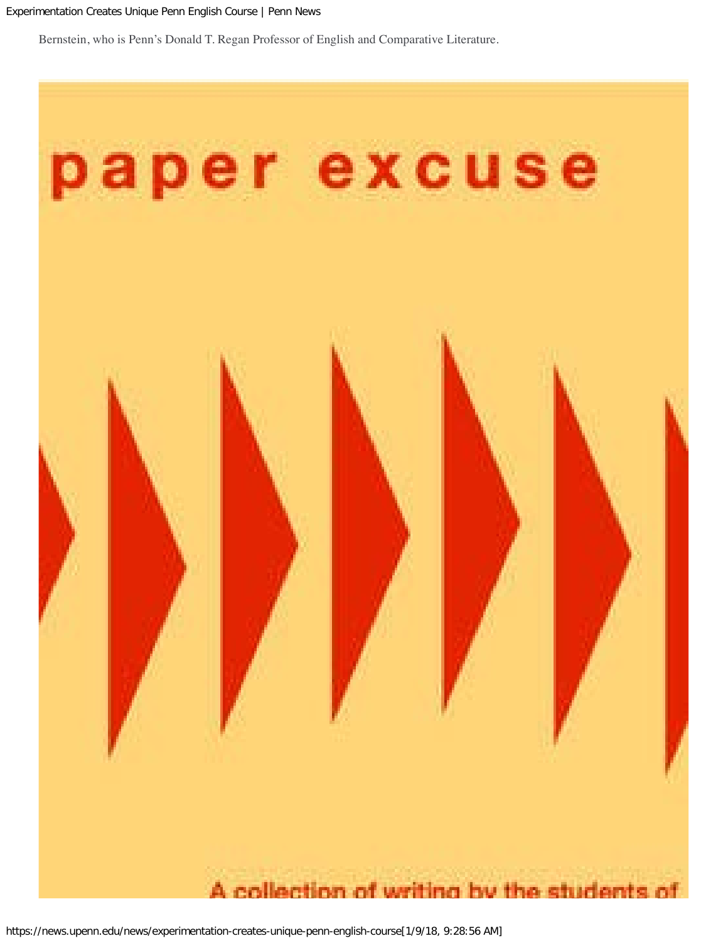Bernstein, who is Penn's Donald T. Regan Professor of English and Comparative Literature.

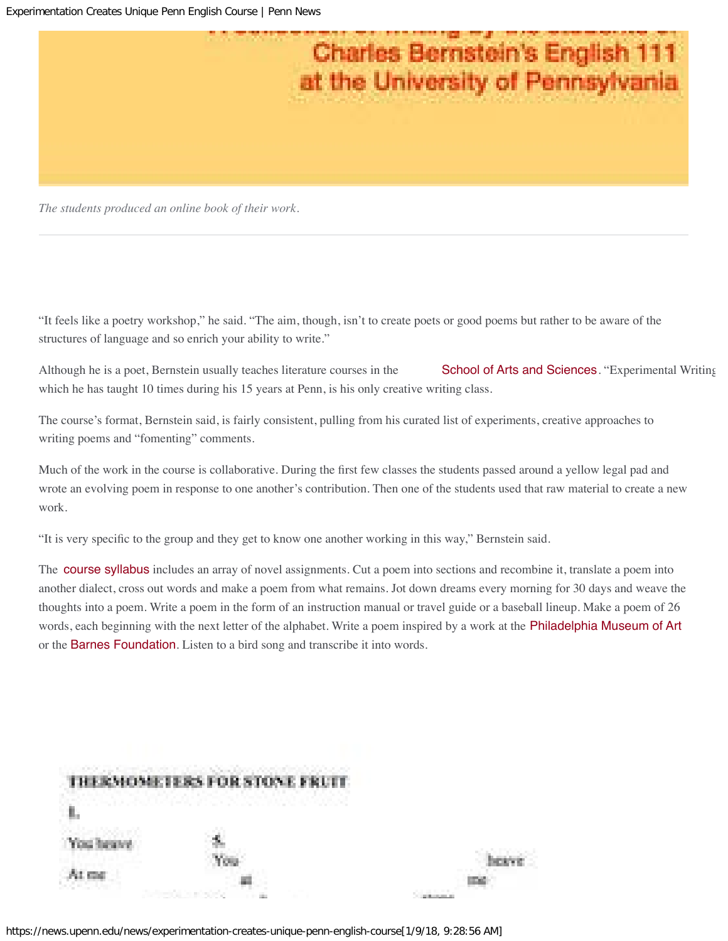

*The students produced an online book of their work.* 

"It feels like a poetry workshop," he said. "The aim, though, isn't to create poets or good poems but rather to be aware of the structures of language and so enrich your ability to write."

Although he is a poet, Bernstein usually teaches literature courses in the [School of Arts and Sciences](https://www.sas.upenn.edu/). "Experimental Writing which he has taught 10 times during his 15 years at Penn, is his only creative writing class.

The course's format, Bernstein said, is fairly consistent, pulling from his curated list of experiments, creative approaches to writing poems and "fomenting" comments.

Much of the work in the course is collaborative. During the frst few classes the students passed around a yellow legal pad and wrote an evolving poem in response to one another's contribution. Then one of the students used that raw material to create a new work.

"It is very specifc to the group and they get to know one another working in this way," Bernstein said.

The **[course syllabus](http://writing.upenn.edu/bernstein/syllabi/111.html)** includes an array of novel assignments. Cut a poem into sections and recombine it, translate a poem into another dialect, cross out words and make a poem from what remains. Jot down dreams every morning for 30 days and weave the thoughts into a poem. Write a poem in the form of an instruction manual or travel guide or a baseball lineup. Make a poem of 26 words, each beginning with the next letter of the alphabet. Write a poem inspired by a work at the [Philadelphia Museum of Art](https://www.philamuseum.org/) or the [Barnes Foundation](https://www.barnesfoundation.org/). Listen to a bird song and transcribe it into words.

|       | <b><i>EMOMETERS FOR STONE FRUIT</i></b> |  |
|-------|-----------------------------------------|--|
|       | 533 W<br>1742013                        |  |
| (Yes) |                                         |  |
|       |                                         |  |

https://news.upenn.edu/news/experimentation-creates-unique-penn-english-course[1/9/18, 9:28:56 AM]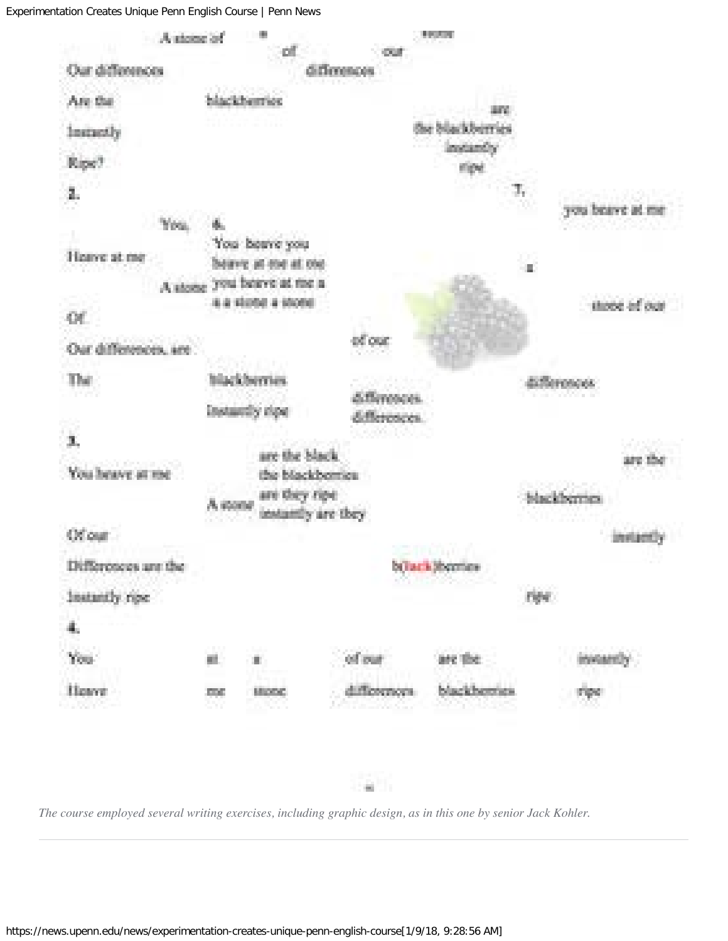

*The course employed several writing exercises, including graphic design, as in this one by senior Jack Kohler.*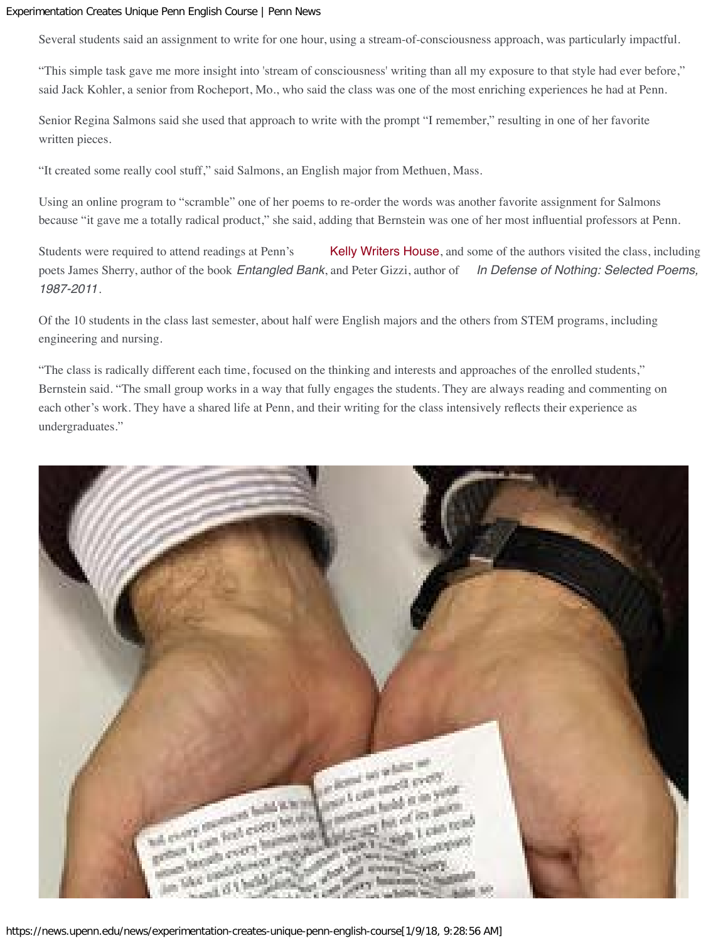Several students said an assignment to write for one hour, using a stream-of-consciousness approach, was particularly impactful.

"This simple task gave me more insight into 'stream of consciousness' writing than all my exposure to that style had ever before," said Jack Kohler, a senior from Rocheport, Mo., who said the class was one of the most enriching experiences he had at Penn.

Senior Regina Salmons said she used that approach to write with the prompt "I remember," resulting in one of her favorite written pieces.

"It created some really cool stuff," said Salmons, an English major from Methuen, Mass.

Using an online program to "scramble" one of her poems to re-order the words was another favorite assignment for Salmons because "it gave me a totally radical product," she said, adding that Bernstein was one of her most infuential professors at Penn.

Students were required to attend readings at Penn's [Kelly Writers House](http://www.writing.upenn.edu/~wh/), and some of the authors visited the class, including poets James Sherry, author of the book *Entangled Bank*, and Peter Gizzi, author of *In Defense of Nothing: Selected Poems, 1987-2011*.

Of the 10 students in the class last semester, about half were English majors and the others from STEM programs, including engineering and nursing.

"The class is radically different each time, focused on the thinking and interests and approaches of the enrolled students," Bernstein said. "The small group works in a way that fully engages the students. They are always reading and commenting on each other's work. They have a shared life at Penn, and their writing for the class intensively refects their experience as undergraduates."

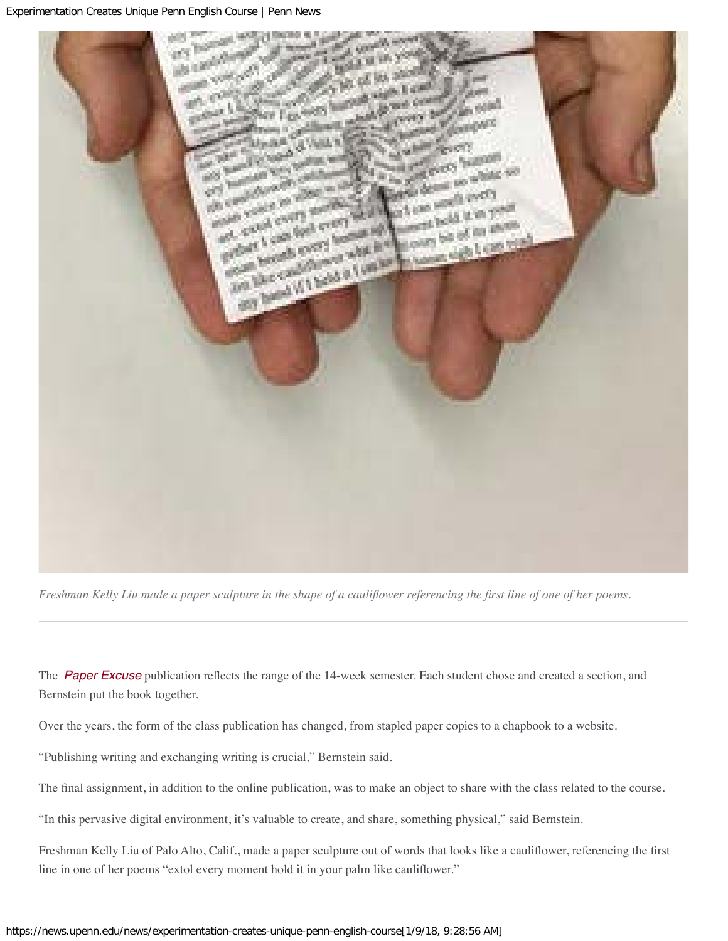

*Freshman Kelly Liu made a paper sculpture in the shape of a caulifower referencing the frst line of one of her poems.* 

The **[Paper Excuse](http://www.writing.upenn.edu/bernstein/syllabi/111/Paper-Excuse_111_F17.pdf)** publication reflects the range of the 14-week semester. Each student chose and created a section, and Bernstein put the book together.

Over the years, the form of the class publication has changed, from stapled paper copies to a chapbook to a website.

"Publishing writing and exchanging writing is crucial," Bernstein said.

The fnal assignment, in addition to the online publication, was to make an object to share with the class related to the course.

"In this pervasive digital environment, it's valuable to create, and share, something physical," said Bernstein.

Freshman Kelly Liu of Palo Alto, Calif., made a paper sculpture out of words that looks like a caulifower, referencing the frst line in one of her poems "extol every moment hold it in your palm like caulifower."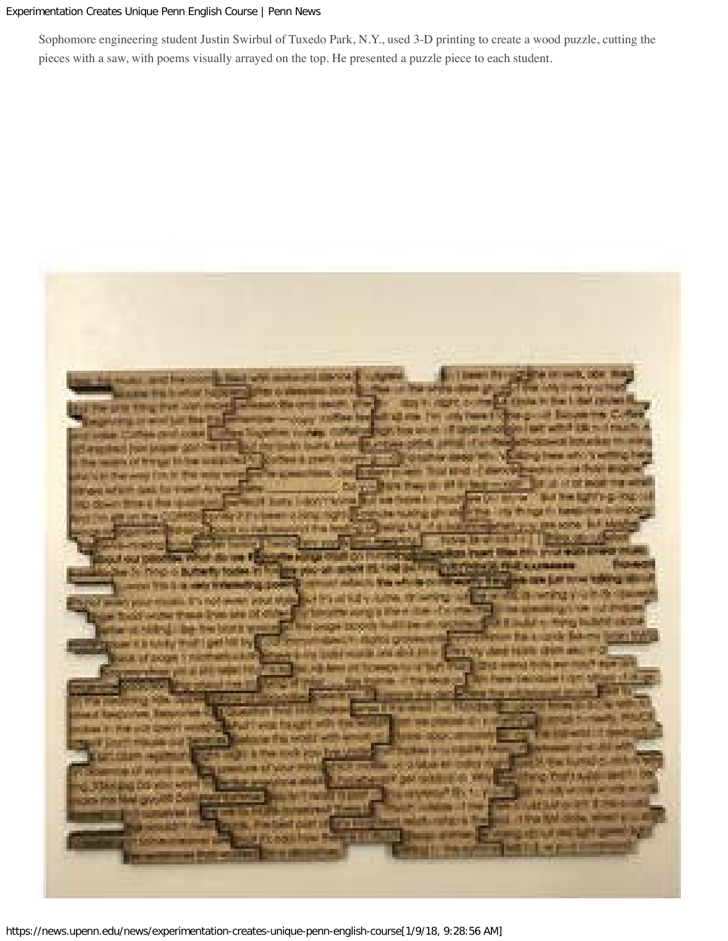Sophomore engineering student Justin Swirbul of Tuxedo Park, N.Y., used 3-D printing to create a wood puzzle, cutting the pieces with a saw, with poems visually arrayed on the top. He presented a puzzle piece to each student.